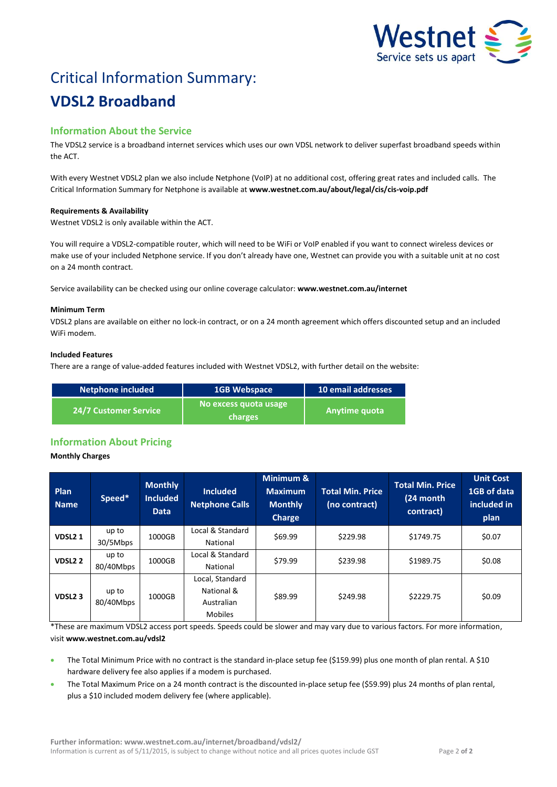

# Critical Information Summary: **VDSL2 Broadband**

## **Information About the Service**

The VDSL2 service is a broadband internet services which uses our own VDSL network to deliver superfast broadband speeds within the ACT.

With every Westnet VDSL2 plan we also include Netphone (VoIP) at no additional cost, offering great rates and included calls. The Critical Information Summary for Netphone is available at **www.westnet.com.au/about/legal/cis/cis-voip.pdf**

#### **Requirements & Availability**

Westnet VDSL2 is only available within the ACT.

You will require a VDSL2-compatible router, which will need to be WiFi or VoIP enabled if you want to connect wireless devices or make use of your included Netphone service. If you don't already have one, Westnet can provide you with a suitable unit at no cost on a 24 month contract.

Service availability can be checked using our online coverage calculator: **www.westnet.com.au/internet**

#### **Minimum Term**

VDSL2 plans are available on either no lock-in contract, or on a 24 month agreement which offers discounted setup and an included WiFi modem.

#### **Included Features**

There are a range of value-added features included with Westnet VDSL2, with further detail on the website:

| Netphone included            | <b>1GB Webspace</b>              | 10 email addresses |
|------------------------------|----------------------------------|--------------------|
| <b>24/7 Customer Service</b> | No excess quota usage<br>charges | l Anytime quota    |

### **Information About Pricing**

#### **Monthly Charges**

| Plan<br><b>Name</b> | Speed*             | <b>Monthly</b><br><b>Included</b><br><b>Data</b> | <b>Included</b><br><b>Netphone Calls</b>                      | Minimum &<br><b>Maximum</b><br><b>Monthly</b><br><b>Charge</b> | <b>Total Min. Price</b><br>(no contract) | <b>Total Min. Price</b><br>(24 month<br>contract) | <b>Unit Cost</b><br>1GB of data<br>included in<br>plan |
|---------------------|--------------------|--------------------------------------------------|---------------------------------------------------------------|----------------------------------------------------------------|------------------------------------------|---------------------------------------------------|--------------------------------------------------------|
| VDSL <sub>21</sub>  | up to<br>30/5Mbps  | 1000GB                                           | Local & Standard<br>National                                  | \$69.99                                                        | \$229.98                                 | \$1749.75                                         | \$0.07                                                 |
| VDSL <sub>2</sub> 2 | up to<br>80/40Mbps | 1000GB                                           | Local & Standard<br>National                                  | \$79.99                                                        | \$239.98                                 | \$1989.75                                         | \$0.08                                                 |
| VDSL <sub>2</sub> 3 | up to<br>80/40Mbps | 1000GB                                           | Local, Standard<br>National &<br>Australian<br><b>Mobiles</b> | \$89.99                                                        | \$249.98                                 | \$2229.75                                         | \$0.09                                                 |

\*These are maximum VDSL2 access port speeds. Speeds could be slower and may vary due to various factors. For more information, visit **www.westnet.com.au/vdsl2**

- The Total Minimum Price with no contract is the standard in-place setup fee (\$159.99) plus one month of plan rental. A \$10 hardware delivery fee also applies if a modem is purchased.
- The Total Maximum Price on a 24 month contract is the discounted in-place setup fee (\$59.99) plus 24 months of plan rental, plus a \$10 included modem delivery fee (where applicable).